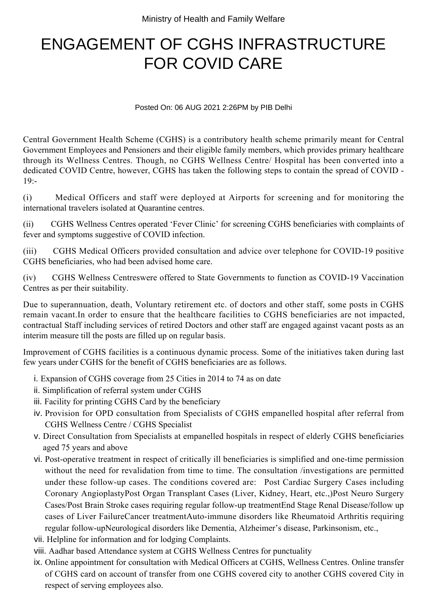## ENGAGEMENT OF CGHS INFRASTRUCTURE FOR COVID CARE

Posted On: 06 AUG 2021 2:26PM by PIB Delhi

Central Government Health Scheme (CGHS) is a contributory health scheme primarily meant for Central Government Employees and Pensioners and their eligible family members, which provides primary healthcare through its Wellness Centres. Though, no CGHS Wellness Centre/ Hospital has been converted into a dedicated COVID Centre, however, CGHS has taken the following steps to contain the spread of COVID -  $19: -$ 

(i) Medical Officers and staff were deployed at Airports for screening and for monitoring the international travelers isolated at Quarantine centres.

(ii) CGHS Wellness Centres operated 'Fever Clinic' for screening CGHS beneficiaries with complaints of fever and symptoms suggestive of COVID infection.

(iii) CGHS Medical Officers provided consultation and advice over telephone for COVID-19 positive CGHS beneficiaries, who had been advised home care.

(iv) CGHS Wellness Centreswere offered to State Governments to function as COVID-19 Vaccination Centres as per their suitability.

Due to superannuation, death, Voluntary retirement etc. of doctors and other staff, some posts in CGHS remain vacant.In order to ensure that the healthcare facilities to CGHS beneficiaries are not impacted, contractual Staff including services of retired Doctors and other staff are engaged against vacant posts as an interim measure till the posts are filled up on regular basis.

Improvement of CGHS facilities is a continuous dynamic process. Some of the initiatives taken during last few years under CGHS for the benefit of CGHS beneficiaries are as follows.

- i. Expansion of CGHS coverage from 25 Cities in 2014 to 74 as on date
- ii. Simplification of referral system under CGHS
- iii. Facility for printing CGHS Card by the beneficiary
- iv. Provision for OPD consultation from Specialists of CGHS empanelled hospital after referral from CGHS Wellness Centre / CGHS Specialist
- v. Direct Consultation from Specialists at empanelled hospitals in respect of elderly CGHS beneficiaries aged 75 years and above
- vi. Post-operative treatment in respect of critically ill beneficiaries is simplified and one-time permission without the need for revalidation from time to time. The consultation /investigations are permitted under these follow-up cases. The conditions covered are: Post Cardiac Surgery Cases including Coronary AngioplastyPost Organ Transplant Cases (Liver, Kidney, Heart, etc.,)Post Neuro Surgery Cases/Post Brain Stroke cases requiring regular follow-up treatmentEnd Stage Renal Disease/follow up cases of Liver FailureCancer treatmentAuto-immune disorders like Rheumatoid Arthritis requiring regular follow-upNeurological disorders like Dementia, Alzheimer's disease, Parkinsonism, etc.,
- vii. Helpline for information and for lodging Complaints.
- viii. Aadhar based Attendance system at CGHS Wellness Centres for punctuality
- ix. Online appointment for consultation with Medical Officers at CGHS, Wellness Centres. Online transfer of CGHS card on account of transfer from one CGHS covered city to another CGHS covered City in respect of serving employees also.